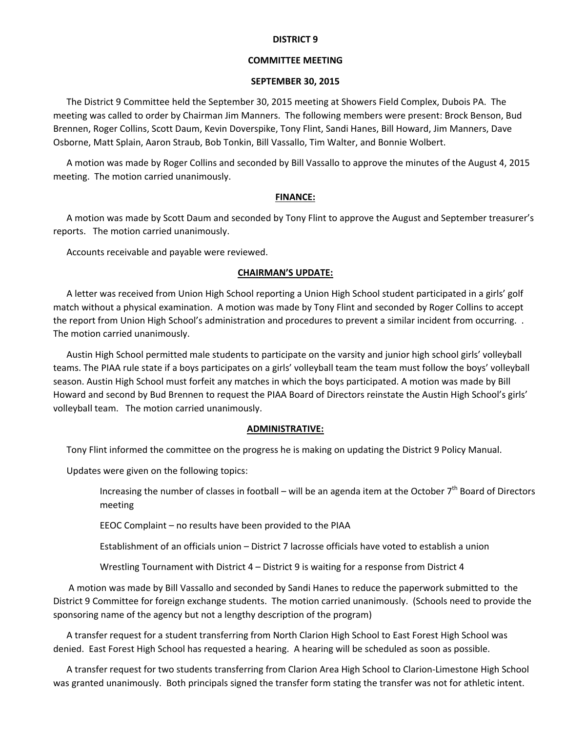#### **DISTRICT 9**

# **COMMITTEE MEETING**

#### **SEPTEMBER 30, 2015**

The District 9 Committee held the September 30, 2015 meeting at Showers Field Complex, Dubois PA. The meeting was called to order by Chairman Jim Manners. The following members were present: Brock Benson, Bud Brennen, Roger Collins, Scott Daum, Kevin Doverspike, Tony Flint, Sandi Hanes, Bill Howard, Jim Manners, Dave Osborne, Matt Splain, Aaron Straub, Bob Tonkin, Bill Vassallo, Tim Walter, and Bonnie Wolbert.

A motion was made by Roger Collins and seconded by Bill Vassallo to approve the minutes of the August 4, 2015 meeting. The motion carried unanimously.

## **FINANCE:**

A motion was made by Scott Daum and seconded by Tony Flint to approve the August and September treasurer's reports. The motion carried unanimously.

Accounts receivable and payable were reviewed.

## **CHAIRMAN'S UPDATE:**

A letter was received from Union High School reporting a Union High School student participated in a girls' golf match without a physical examination. A motion was made by Tony Flint and seconded by Roger Collins to accept the report from Union High School's administration and procedures to prevent a similar incident from occurring. . The motion carried unanimously.

Austin High School permitted male students to participate on the varsity and junior high school girls' volleyball teams. The PIAA rule state if a boys participates on a girls' volleyball team the team must follow the boys' volleyball season. Austin High School must forfeit any matches in which the boys participated. A motion was made by Bill Howard and second by Bud Brennen to request the PIAA Board of Directors reinstate the Austin High School's girls' volleyball team. The motion carried unanimously.

## **ADMINISTRATIVE:**

Tony Flint informed the committee on the progress he is making on updating the District 9 Policy Manual.

Updates were given on the following topics:

Increasing the number of classes in football – will be an agenda item at the October 7<sup>th</sup> Board of Directors meeting

EEOC Complaint – no results have been provided to the PIAA

Establishment of an officials union – District 7 lacrosse officials have voted to establish a union

Wrestling Tournament with District 4 – District 9 is waiting for a response from District 4

A motion was made by Bill Vassallo and seconded by Sandi Hanes to reduce the paperwork submitted to the District 9 Committee for foreign exchange students. The motion carried unanimously. (Schools need to provide the sponsoring name of the agency but not a lengthy description of the program)

A transfer request for a student transferring from North Clarion High School to East Forest High School was denied. East Forest High School has requested a hearing. A hearing will be scheduled as soon as possible.

A transfer request for two students transferring from Clarion Area High School to Clarion‐Limestone High School was granted unanimously. Both principals signed the transfer form stating the transfer was not for athletic intent.